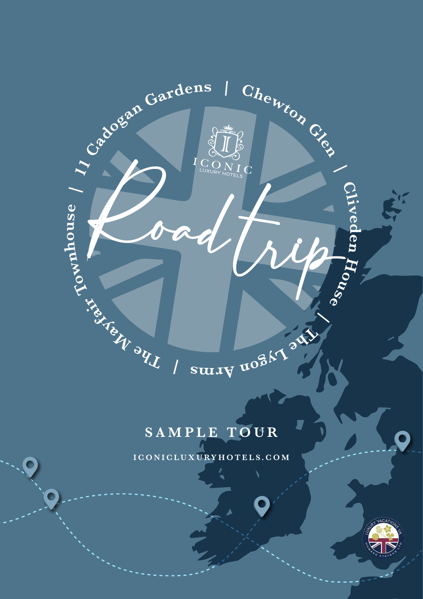

### **SAMPLE TOUR**

 $\overline{ }$ 

**ICONICLUXURYHOTELS.COM**

C

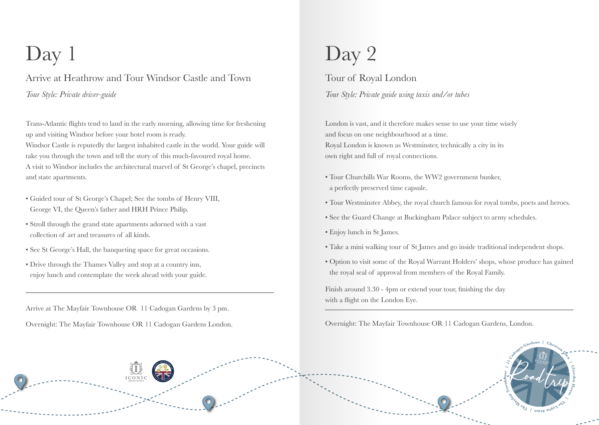Arrive at Heathrow and Tour Windsor Castle and Town *Tour Style: Private driver-guide*

Trans-Atlantic flights tend to land in the early morning, allowing time for freshening up and visiting Windsor before your hotel room is ready.

Windsor Castle is reputedly the largest inhabited castle in the world. Your guide will take you through the town and tell the story of this much-favoured royal home. A visit to Windsor includes the architectural marvel of St George's chapel, precincts and state apartments.

- Guided tour of St George's Chapel; See the tombs of Henry VIII, George VI, the Queen's father and HRH Prince Philip.
- Stroll through the grand state apartments adorned with a vast collection of art and treasures of all kinds.
- See St George's Hall, the banqueting space for great occasions.
- Drive through the Thames Valley and stop at a country inn, enjoy lunch and contemplate the week ahead with your guide.

Arrive at The Mayfair Townhouse OR 11 Cadogan Gardens by 3 pm.

# $Day 1$  Day 2

Tour of Royal London *Tour Style: Private guide using taxis and/or tubes*

London is vast, and it therefore makes sense to use your time wisely and focus on one neighbourhood at a time. Royal London is known as Westminster, technically a city in its own right and full of royal connections.

- Tour Churchills War Rooms, the WW2 government bunker, a perfectly preserved time capsule.
- Tour Westminster Abbey, the royal church famous for royal tombs, poets and heroes.
- See the Guard Change at Buckingham Palace subject to army schedules.
- Enjoy lunch in St James.
- Take a mini walking tour of St James and go inside traditional independent shops.
- Option to visit some of the Royal Warrant Holders' shops, whose produce has gained the royal seal of approval from members of the Royal Family.

Finish around 3.30 - 4pm or extend your tour, finishing the day with a flight on the London Eye.

Overnight: The Mayfair Townhouse OR 11 Cadogan Gardens London. Overnight: The Mayfair Townhouse OR 11 Cadogan Gardens, London.

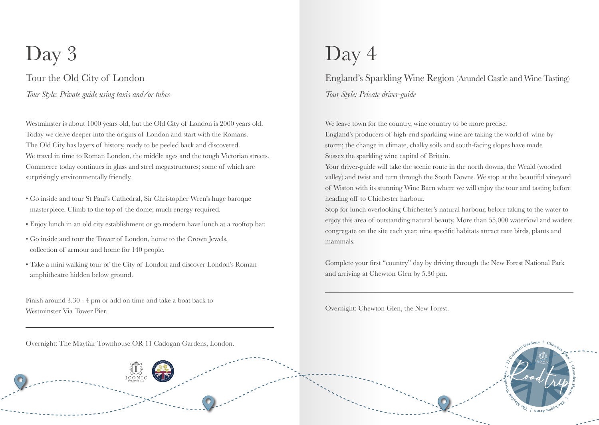### Tour the Old City of London *Tour Style: Private guide using taxis and/or tubes*

Westminster is about 1000 years old, but the Old City of London is 2000 years old. Today we delve deeper into the origins of London and start with the Romans. The Old City has layers of history, ready to be peeled back and discovered. We travel in time to Roman London, the middle ages and the tough Victorian streets. Commerce today continues in glass and steel megastructures; some of which are surprisingly environmentally friendly.

- Go inside and tour St Paul's Cathedral, Sir Christopher Wren's huge baroque masterpiece. Climb to the top of the dome; much energy required.
- Enjoy lunch in an old city establishment or go modern have lunch at a rooftop bar.
- Go inside and tour the Tower of London, home to the Crown Jewels, collection of armour and home for 140 people.
- Take a mini walking tour of the City of London and discover London's Roman amphitheatre hidden below ground.

Finish around 3.30 - 4 pm or add on time and take a boat back to Westminster Via Tower Pier.

Overnight: The Mayfair Townhouse OR 11 Cadogan Gardens, London.

## $Day 3$  Day 4

England's Sparkling Wine Region (Arundel Castle and Wine Tasting) *Tour Style: Private driver-guide*

We leave town for the country, wine country to be more precise.

England's producers of high-end sparkling wine are taking the world of wine by storm; the change in climate, chalky soils and south-facing slopes have made Sussex the sparkling wine capital of Britain.

Your driver-guide will take the scenic route in the north downs, the Weald (wooded valley) and twist and turn through the South Downs. We stop at the beautiful vineyard of Wiston with its stunning Wine Barn where we will enjoy the tour and tasting before heading off to Chichester harbour.

Stop for lunch overlooking Chichester's natural harbour, before taking to the water to enjoy this area of outstanding natural beauty. More than 55,000 waterfowl and waders congregate on the site each year, nine specific habitats attract rare birds, plants and mammals.

Complete your first "country" day by driving through the New Forest National Park and arriving at Chewton Glen by 5.30 pm.

Overnight: Chewton Glen, the New Forest.

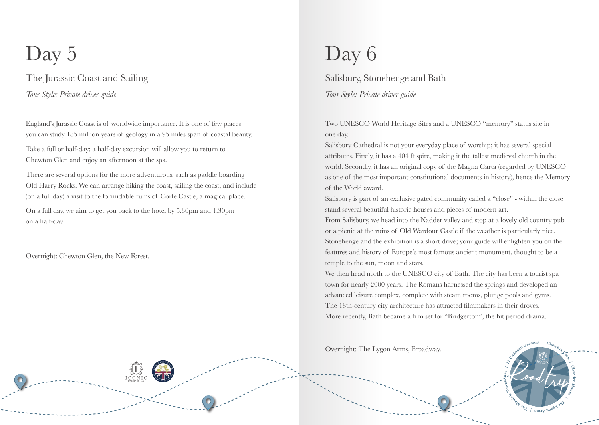The Jurassic Coast and Sailing *Tour Style: Private driver-guide*

England's Jurassic Coast is of worldwide importance. It is one of few places you can study 185 million years of geology in a 95 miles span of coastal beauty.

Take a full or half-day: a half-day excursion will allow you to return to Chewton Glen and enjoy an afternoon at the spa.

There are several options for the more adventurous, such as paddle boarding Old Harry Rocks. We can arrange hiking the coast, sailing the coast, and include (on a full day) a visit to the formidable ruins of Corfe Castle, a magical place.

On a full day, we aim to get you back to the hotel by 5.30pm and 1.30pm on a half-day.

Overnight: Chewton Glen, the New Forest.

## Day 5 Day 6

Salisbury, Stonehenge and Bath *Tour Style: Private driver-guide*

Two UNESCO World Heritage Sites and a UNESCO "memory" status site in one day.

Salisbury Cathedral is not your everyday place of worship; it has several special attributes. Firstly, it has a 404 ft spire, making it the tallest medieval church in the world. Secondly, it has an original copy of the Magna Carta (regarded by UNESCO as one of the most important constitutional documents in history), hence the Memory of the World award.

Salisbury is part of an exclusive gated community called a "close" - within the close stand several beautiful historic houses and pieces of modern art.

From Salisbury, we head into the Nadder valley and stop at a lovely old country pub or a picnic at the ruins of Old Wardour Castle if the weather is particularly nice. Stonehenge and the exhibition is a short drive; your guide will enlighten you on the features and history of Europe's most famous ancient monument, thought to be a temple to the sun, moon and stars.

We then head north to the UNESCO city of Bath. The city has been a tourist spa town for nearly 2000 years. The Romans harnessed the springs and developed an advanced leisure complex, complete with steam rooms, plunge pools and gyms. The 18th-century city architecture has attracted filmmakers in their droves. More recently, Bath became a film set for "Bridgerton", the hit period drama.

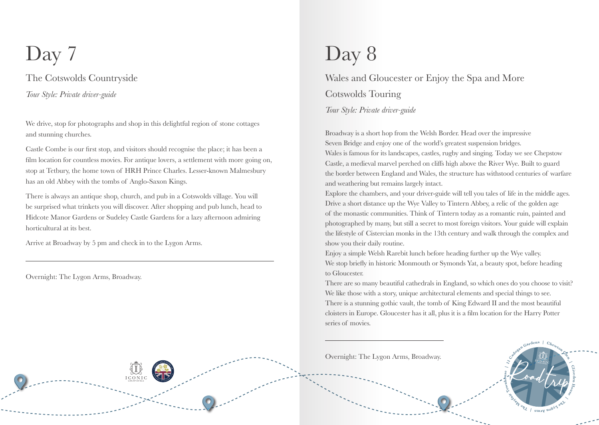### The Cotswolds Countryside *Tour Style: Private driver-guide*

We drive, stop for photographs and shop in this delightful region of stone cottages and stunning churches.

Castle Combe is our first stop, and visitors should recognise the place; it has been a film location for countless movies. For antique lovers, a settlement with more going on, stop at Tetbury, the home town of HRH Prince Charles. Lesser-known Malmesbury has an old Abbey with the tombs of Anglo-Saxon Kings.

There is always an antique shop, church, and pub in a Cotswolds village. You will be surprised what trinkets you will discover. After shopping and pub lunch, head to Hidcote Manor Gardens or Sudeley Castle Gardens for a lazy afternoon admiring horticultural at its best.

Arrive at Broadway by 5 pm and check in to the Lygon Arms.

Overnight: The Lygon Arms, Broadway.

## Day 7 Day 8

### Wales and Gloucester or Enjoy the Spa and More Cotswolds Touring

*Tour Style: Private driver-guide*

Broadway is a short hop from the Welsh Border. Head over the impressive Seven Bridge and enjoy one of the world's greatest suspension bridges. Wales is famous for its landscapes, castles, rugby and singing. Today we see Chepstow Castle, a medieval marvel perched on cliffs high above the River Wye. Built to guard the border between England and Wales, the structure has withstood centuries of warfare and weathering but remains largely intact.

Explore the chambers, and your driver-guide will tell you tales of life in the middle ages. Drive a short distance up the Wye Valley to Tintern Abbey, a relic of the golden age of the monastic communities. Think of Tintern today as a romantic ruin, painted and photographed by many, but still a secret to most foreign visitors. Your guide will explain the lifestyle of Cistercian monks in the 13th century and walk through the complex and show you their daily routine.

Enjoy a simple Welsh Rarebit lunch before heading further up the Wye valley. We stop briefly in historic Monmouth or Symonds Yat, a beauty spot, before heading to Gloucester.

There are so many beautiful cathedrals in England, so which ones do you choose to visit? We like those with a story, unique architectural elements and special things to see. There is a stunning gothic vault, the tomb of King Edward II and the most beautiful cloisters in Europe. Gloucester has it all, plus it is a film location for the Harry Potter series of movies.